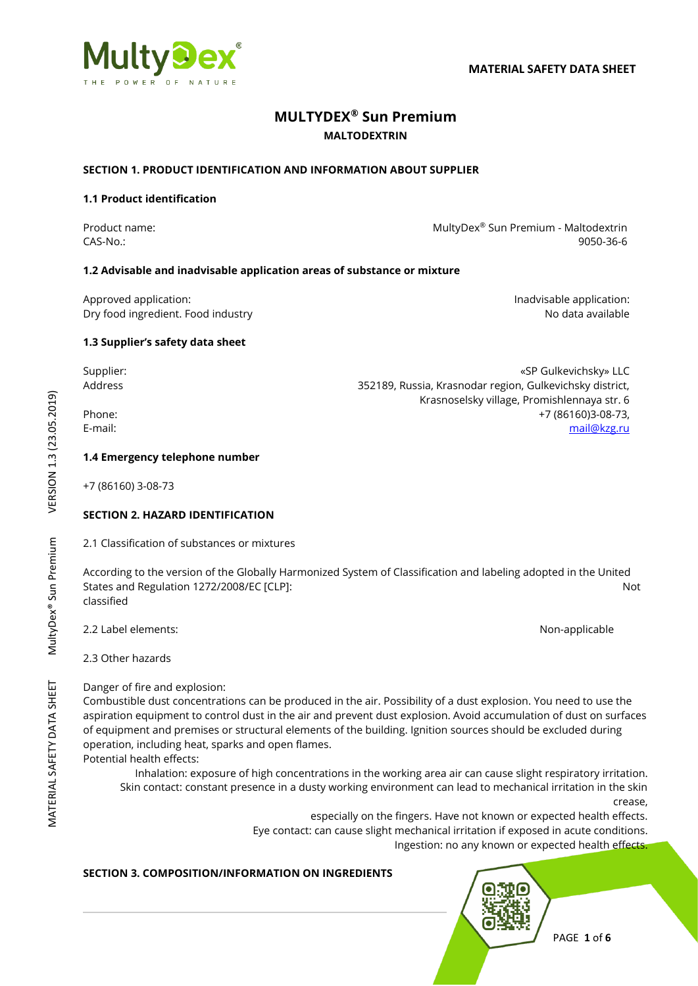

# **MULTYDEX® Sun Premium MALTODEXTRIN**

## **SECTION 1. PRODUCT IDENTIFICATION AND INFORMATION ABOUT SUPPLIER**

## **1.1 Product identification**

Product name: National Research MultyDex® Sun Premium - Maltodextrin CAS-No.: 9050-36-6

Krasnoselsky village, Promishlennaya str. 6

## **1.2 Advisable and inadvisable application areas of substance or mixture**

Approved application: **Individually** Approved application: Dry food ingredient. Food industry and the state of the state of the state of the No data available

**1.3 Supplier's safety data sheet**

Supplier: «SP Gulkevichsky» LLC Address 352189, Russia, Krasnodar region, Gulkevichsky district,

Phone: +7 (86160)3-08-73, E-mail: [mail@kzg.ru](mailto:mail@kzg.ru)

## **1.4 Emergency telephone number**

+7 (86160) 3-08-73

## **SECTION 2. HAZARD IDENTIFICATION**

2.1 Classification of substances or mixtures

According to the version of the Globally Harmonized System of Classification and labeling adopted in the United States and Regulation 1272/2008/EC [CLP]: Not classified

2.2 Label elements: Non-applicable

2.3 Other hazards

Danger of fire and explosion:

Combustible dust concentrations can be produced in the air. Possibility of a dust explosion. You need to use the aspiration equipment to control dust in the air and prevent dust explosion. Avoid accumulation of dust on surfaces of equipment and premises or structural elements of the building. Ignition sources should be excluded during operation, including heat, sparks and open flames.

Potential health effects:

Inhalation: exposure of high concentrations in the working area air can cause slight respiratory irritation. Skin contact: constant presence in a dusty working environment can lead to mechanical irritation in the skin crease,

especially on the fingers. Have not known or expected health effects. Eye contact: can cause slight mechanical irritation if exposed in acute conditions. Ingestion: no any known or expected health effects.

## **SECTION 3. COMPOSITION/INFORMATION ON INGREDIENTS**

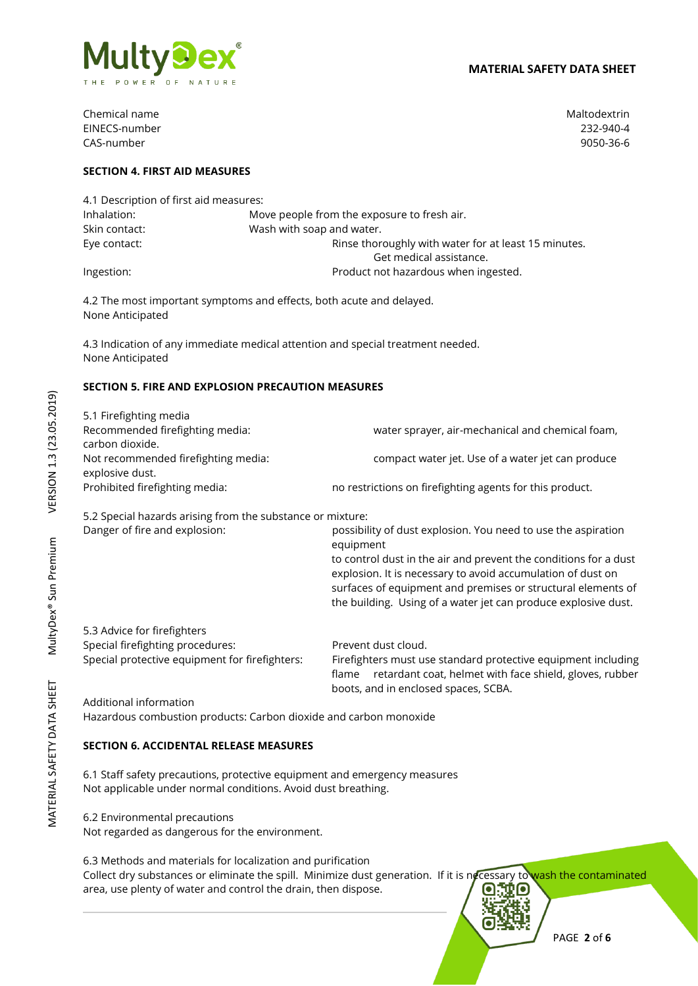

Chemical name Maltodextrin and the matrix of the matrix of the Maltodextrin and Maltodextrin EINECS-number 232-940-4 CAS-number 9050-36-6

## **SECTION 4. FIRST AID MEASURES**

| 4.1 Description of first aid measures: |                                                      |  |
|----------------------------------------|------------------------------------------------------|--|
| Inhalation:                            | Move people from the exposure to fresh air.          |  |
| Skin contact:                          | Wash with soap and water.                            |  |
| Eye contact:                           | Rinse thoroughly with water for at least 15 minutes. |  |
|                                        | Get medical assistance.                              |  |
| Ingestion:                             | Product not hazardous when ingested.                 |  |

4.2 The most important symptoms and effects, both acute and delayed. None Anticipated

4.3 Indication of any immediate medical attention and special treatment needed. None Anticipated

## **SECTION 5. FIRE AND EXPLOSION PRECAUTION MEASURES**

| 5.1 Firefighting media              |                                                          |
|-------------------------------------|----------------------------------------------------------|
| Recommended firefighting media:     | water sprayer, air-mechanical and chemical foam,         |
| carbon dioxide.                     |                                                          |
| Not recommended firefighting media: | compact water jet. Use of a water jet can produce        |
| explosive dust.                     |                                                          |
| Prohibited firefighting media:      | no restrictions on firefighting agents for this product. |
|                                     |                                                          |

5.2 Special hazards arising from the substance or mixture:

| Danger of fire and explosion: | possibility of dust explosion. You need to use the aspiration                                                                                                                                                |
|-------------------------------|--------------------------------------------------------------------------------------------------------------------------------------------------------------------------------------------------------------|
|                               | equipment<br>to control dust in the air and prevent the conditions for a dust<br>explosion. It is necessary to avoid accumulation of dust on<br>surfaces of equipment and premises or structural elements of |
|                               | the building. Using of a water jet can produce explosive dust.                                                                                                                                               |
| 5.3 Advice for firefighters   |                                                                                                                                                                                                              |

Special firefighting procedures: Prevent dust cloud. Special protective equipment for firefighters: Firefighters must use standard protective equipment including

flame retardant coat, helmet with face shield, gloves, rubber boots, and in enclosed spaces, SCBA.

Additional information Hazardous combustion products: Carbon dioxide and carbon monoxide

### **SECTION 6. ACCIDENTAL RELEASE MEASURES**

6.1 Staff safety precautions, protective equipment and emergency measures Not applicable under normal conditions. Avoid dust breathing.

6.2 Environmental precautions

Not regarded as dangerous for the environment.

## 6.3 Methods and materials for localization and purification

Collect dry substances or eliminate the spill. Minimize dust generation. If it is necessary to wash the contaminated area, use plenty of water and control the drain, then dispose.

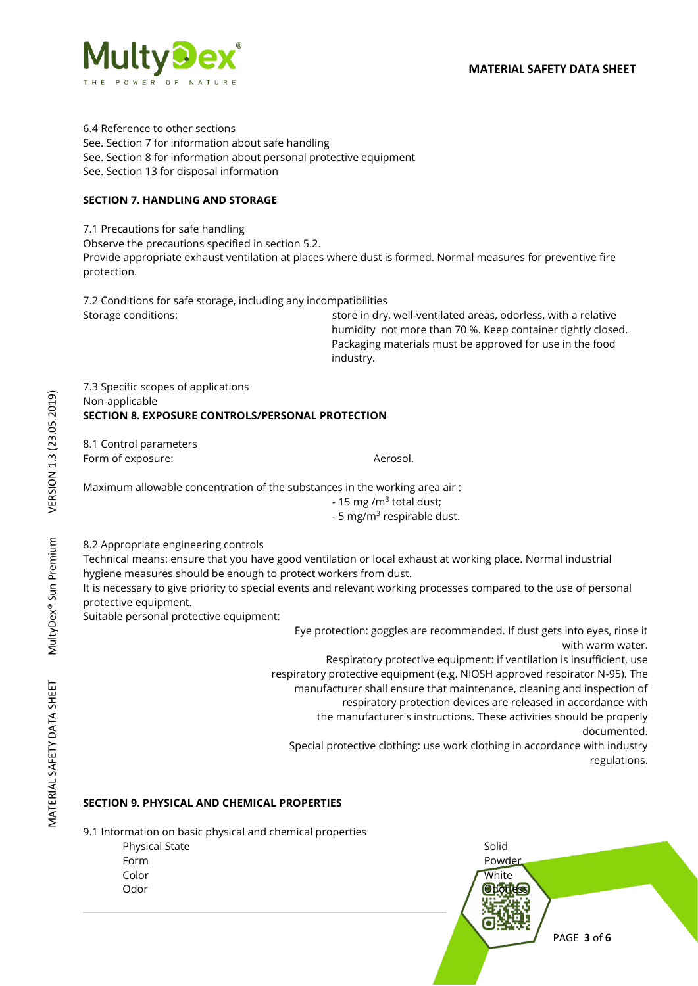

6.4 Reference to other sections See. Section 7 for information about safe handling See. Section 8 for information about personal protective equipment See. Section 13 for disposal information

## **SECTION 7. HANDLING AND STORAGE**

7.1 Precautions for safe handling

Observe the precautions specified in section 5.2.

Provide appropriate exhaust ventilation at places where dust is formed. Normal measures for preventive fire protection.

7.2 Conditions for safe storage, including any incompatibilities Storage conditions: store in dry, well-ventilated areas, odorless, with a relative

humidity not more than 70 %. Keep container tightly closed. Packaging materials must be approved for use in the food industry.

7.3 Specific scopes of applications Non-applicable **SECTION 8. EXPOSURE CONTROLS/PERSONAL PROTECTION** 

8.1 Control parameters Form of exposure:  $\blacksquare$ 

Maximum allowable concentration of the substances in the working area air :

- 15 mg /m<sup>3</sup> total dust;

- 5 mg/m<sup>3</sup> respirable dust.

8.2 Appropriate engineering controls

Technical means: ensure that you have good ventilation or local exhaust at working place. Normal industrial hygiene measures should be enough to protect workers from dust.

It is necessary to give priority to special events and relevant working processes compared to the use of personal protective equipment.

Suitable personal protective equipment:

Eye protection: goggles are recommended. If dust gets into eyes, rinse it with warm water.

Respiratory protective equipment: if ventilation is insufficient, use respiratory protective equipment (e.g. NIOSH approved respirator N-95). The manufacturer shall ensure that maintenance, cleaning and inspection of respiratory protection devices are released in accordance with the manufacturer's instructions. These activities should be properly

documented.

Special protective clothing: use work clothing in accordance with industry regulations.

## **SECTION 9. PHYSICAL AND CHEMICAL PROPERTIES**

9.1 Information on basic physical and chemical properties



MATERIAL SAFETY DATA SHEET MultyDex® Sun Premium VERSION 1.3 (23.05.2019) VERSION 1.3 (23.05.2019) MultyDex® Sun Premium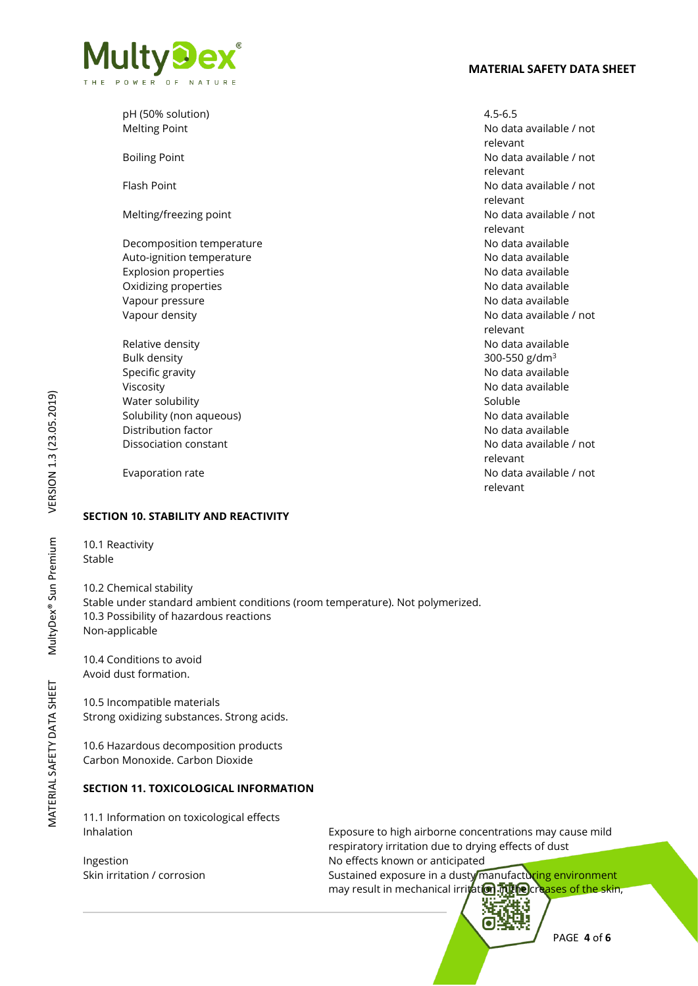

| pH (50% solution)           | $4.5 - 6.5$                         |
|-----------------------------|-------------------------------------|
| <b>Melting Point</b>        | No data available / not<br>relevant |
| <b>Boiling Point</b>        | No data available / not<br>relevant |
| Flash Point                 | No data available / not<br>relevant |
| Melting/freezing point      | No data available / not<br>relevant |
| Decomposition temperature   | No data available                   |
| Auto-ignition temperature   | No data available                   |
| <b>Explosion properties</b> | No data available                   |
| Oxidizing properties        | No data available                   |
| Vapour pressure             | No data available                   |
| Vapour density              | No data available / not<br>relevant |
| Relative density            | No data available                   |
| <b>Bulk density</b>         | 300-550 g/dm <sup>3</sup>           |
| Specific gravity            | No data available                   |
| Viscosity                   | No data available                   |
| Water solubility            | Soluble                             |
| Solubility (non aqueous)    | No data available                   |
| Distribution factor         | No data available                   |
| Dissociation constant       | No data available / not<br>relevant |
| Evaporation rate            | No data available / not<br>relevant |

### **SECTION 10. STABILITY AND REACTIVITY**

10.1 Reactivity Stable

10.2 Chemical stability Stable under standard ambient conditions (room temperature). Not polymerized. 10.3 Possibility of hazardous reactions Non-applicable

10.4 Conditions to avoid Avoid dust formation.

10.5 Incompatible materials Strong oxidizing substances. Strong acids.

10.6 Hazardous decomposition products Carbon Monoxide. Carbon Dioxide

## **SECTION 11. TOXICOLOGICAL INFORMATION**

11.1 Information on toxicological effects

Inhalation Exposure to high airborne concentrations may cause mild respiratory irritation due to drying effects of dust Ingestion **Internal Ingestion** No effects known or anticipated Skin irritation / corrosion **Sustained exposure in a dusty manufacturing environment** may result in mechanical irritation. The creases of the skin,

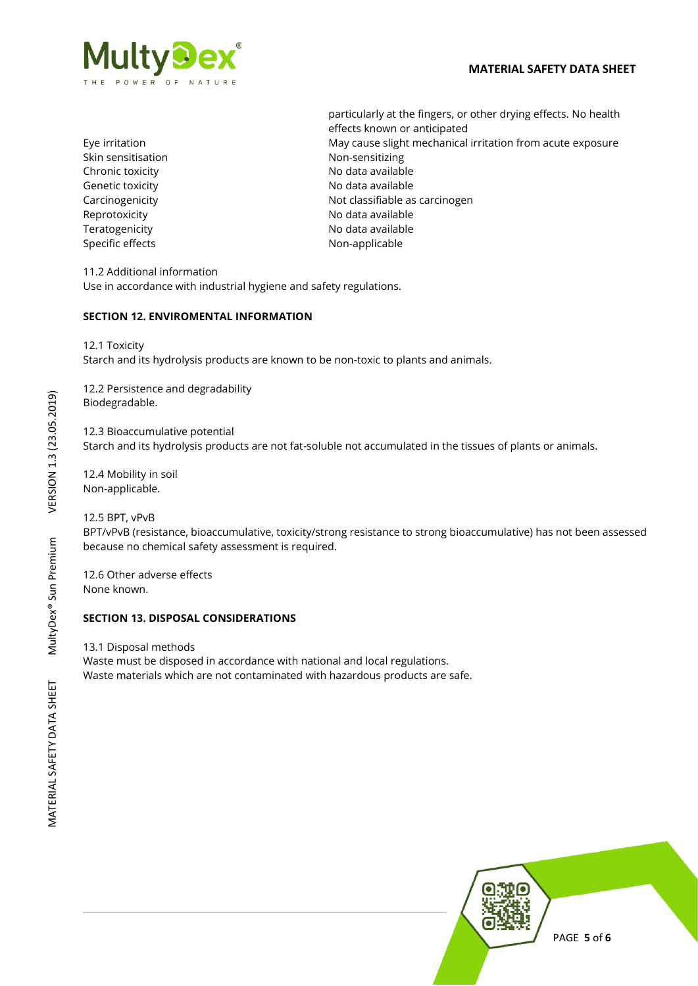

Skin sensitisation Non-sensitizing Chronic toxicity **No official Chronic toxicity** and the North No data available Genetic toxicity **Contract Contract Contract Contract Contract Contract Contract Contract Contract Contract Contract Contract Contract Contract Contract Contract Contract Contract Contract Contract Contract Contract Contra** Reprotoxicity **No data available** Teratogenicity **No data available** No data available Specific effects Non-applicable

particularly at the fingers, or other drying effects. No health effects known or anticipated Eye irritation May cause slight mechanical irritation from acute exposure Carcinogenicity **Not classifiable as carcinogen** 

11.2 Additional information Use in accordance with industrial hygiene and safety regulations.

## **SECTION 12. ENVIROMENTAL INFORMATION**

12.1 Toxicity

Starch and its hydrolysis products are known to be non-toxic to plants and animals.

12.2 Persistence and degradability Biodegradable.

12.3 Bioaccumulative potential Starch and its hydrolysis products are not fat-soluble not accumulated in the tissues of plants or animals.

12.4 Mobility in soil Non-applicable.

12.5 BPT, vPvB BPT/vPvB (resistance, bioaccumulative, toxicity/strong resistance to strong bioaccumulative) has not been assessed because no chemical safety assessment is required.

12.6 Other adverse effects None known.

### **SECTION 13. DISPOSAL CONSIDERATIONS**

13.1 Disposal methods Waste must be disposed in accordance with national and local regulations. Waste materials which are not contaminated with hazardous products are safe.